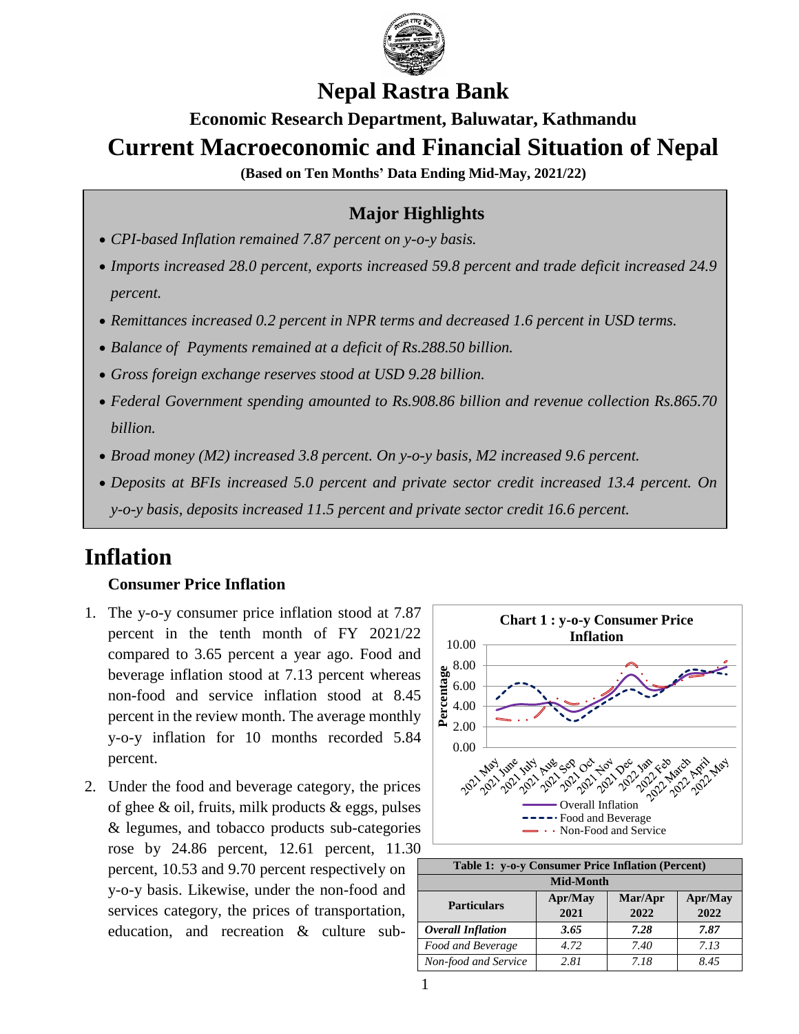

## **Nepal Rastra Bank**

# **Economic Research Department, Baluwatar, Kathmandu Current Macroeconomic and Financial Situation of Nepal**

**(Based on Ten Months' Data Ending Mid-May, 2021/22)**

## **Major Highlights**

- *CPI-based Inflation remained 7.87 percent on y-o-y basis.*
- *Imports increased 28.0 percent, exports increased 59.8 percent and trade deficit increased 24.9 percent.*
- *Remittances increased 0.2 percent in NPR terms and decreased 1.6 percent in USD terms.*
- *Balance of Payments remained at a deficit of Rs.288.50 billion.*
- *Gross foreign exchange reserves stood at USD 9.28 billion.*
- *Federal Government spending amounted to Rs.908.86 billion and revenue collection Rs.865.70 billion.*
- *Broad money (M2) increased 3.8 percent. On y-o-y basis, M2 increased 9.6 percent.*
- *Deposits at BFIs increased 5.0 percent and private sector credit increased 13.4 percent. On y-o-y basis, deposits increased 11.5 percent and private sector credit 16.6 percent.*

# **Inflation**

## **Consumer Price Inflation**

- 1. The y-o-y consumer price inflation stood at 7.87 percent in the tenth month of FY 2021/22 compared to 3.65 percent a year ago. Food and beverage inflation stood at 7.13 percent whereas non-food and service inflation stood at 8.45 percent in the review month. The average monthly y-o-y inflation for 10 months recorded 5.84 percent.
- 2. Under the food and beverage category, the prices of ghee  $\&$  oil, fruits, milk products  $\&$  eggs, pulses & legumes, and tobacco products sub-categories rose by 24.86 percent, 12.61 percent, 11.30 percent, 10.53 and 9.70 percent respectively on y-o-y basis. Likewise, under the non-food and services category, the prices of transportation, education, and recreation & culture sub-



| Table 1: y-o-y Consumer Price Inflation (Percent) |         |         |         |  |  |
|---------------------------------------------------|---------|---------|---------|--|--|
| <b>Mid-Month</b>                                  |         |         |         |  |  |
| <b>Particulars</b>                                | Apr/May | Mar/Apr | Apr/May |  |  |
|                                                   | 2021    | 2022    | 2022    |  |  |
| <b>Overall Inflation</b>                          | 3.65    | 7.28    | 7.87    |  |  |
| Food and Beverage                                 | 4.72    | 7.40    | 7.13    |  |  |
| Non-food and Service                              | 2.81    | 7.18    | 8.45    |  |  |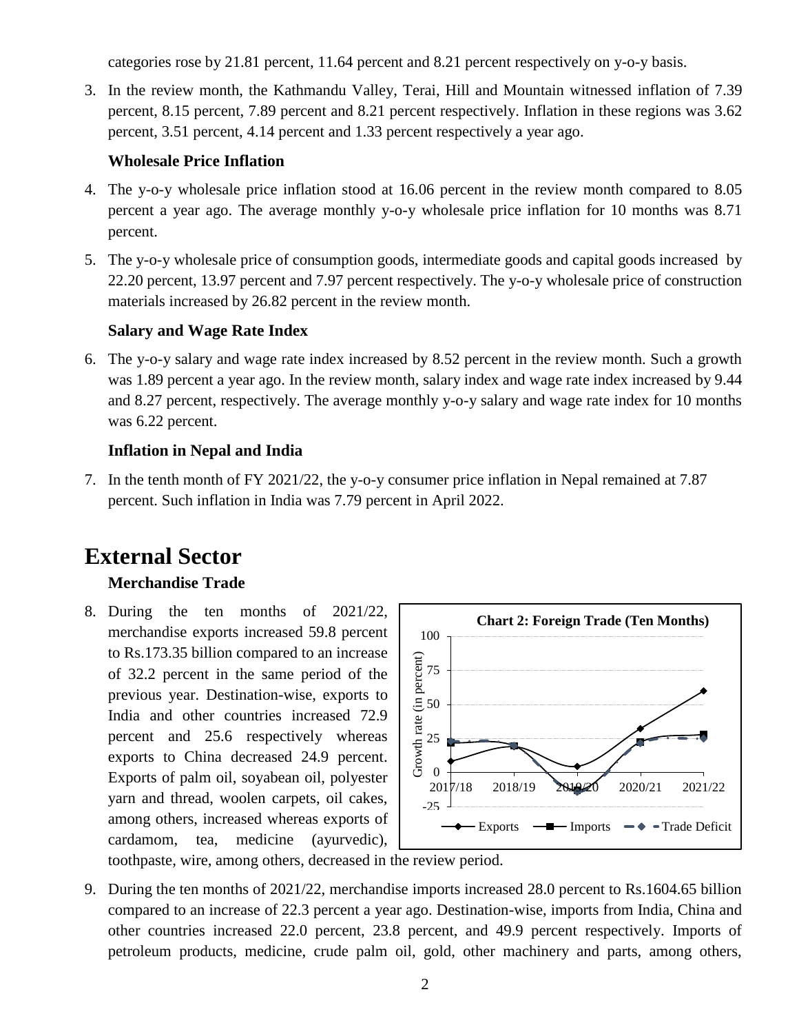categories rose by 21.81 percent, 11.64 percent and 8.21 percent respectively on y-o-y basis.

3. In the review month, the Kathmandu Valley, Terai, Hill and Mountain witnessed inflation of 7.39 percent, 8.15 percent, 7.89 percent and 8.21 percent respectively. Inflation in these regions was 3.62 percent, 3.51 percent, 4.14 percent and 1.33 percent respectively a year ago.

## **Wholesale Price Inflation**

- 4. The y-o-y wholesale price inflation stood at 16.06 percent in the review month compared to 8.05 percent a year ago. The average monthly y-o-y wholesale price inflation for 10 months was 8.71 percent.
- 5. The y-o-y wholesale price of consumption goods, intermediate goods and capital goods increased by 22.20 percent, 13.97 percent and 7.97 percent respectively. The y-o-y wholesale price of construction materials increased by 26.82 percent in the review month.

### **Salary and Wage Rate Index**

6. The y-o-y salary and wage rate index increased by 8.52 percent in the review month. Such a growth was 1.89 percent a year ago. In the review month, salary index and wage rate index increased by 9.44 and 8.27 percent, respectively. The average monthly y-o-y salary and wage rate index for 10 months was 6.22 percent.

## **Inflation in Nepal and India**

7. In the tenth month of FY 2021/22, the y-o-y consumer price inflation in Nepal remained at 7.87 percent. Such inflation in India was 7.79 percent in April 2022.

# **External Sector**

## **Merchandise Trade**

8. During the ten months of 2021/22, merchandise exports increased 59.8 percent to Rs.173.35 billion compared to an increase of 32.2 percent in the same period of the previous year. Destination-wise, exports to India and other countries increased 72.9 percent and 25.6 respectively whereas exports to China decreased 24.9 percent. Exports of palm oil, soyabean oil, polyester yarn and thread, woolen carpets, oil cakes, among others, increased whereas exports of cardamom, tea, medicine (ayurvedic),



toothpaste, wire, among others, decreased in the review period.

9. During the ten months of 2021/22, merchandise imports increased 28.0 percent to Rs.1604.65 billion compared to an increase of 22.3 percent a year ago. Destination-wise, imports from India, China and other countries increased 22.0 percent, 23.8 percent, and 49.9 percent respectively. Imports of petroleum products, medicine, crude palm oil, gold, other machinery and parts, among others,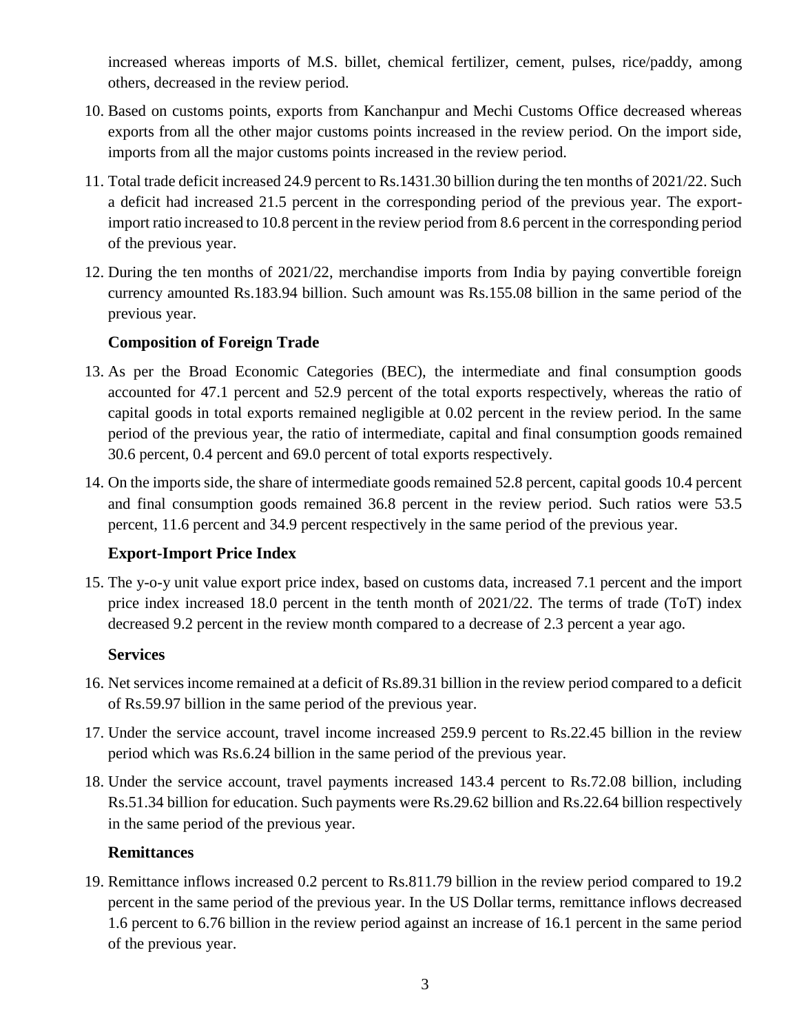increased whereas imports of M.S. billet, chemical fertilizer, cement, pulses, rice/paddy, among others, decreased in the review period.

- 10. Based on customs points, exports from Kanchanpur and Mechi Customs Office decreased whereas exports from all the other major customs points increased in the review period. On the import side, imports from all the major customs points increased in the review period.
- 11. Total trade deficit increased 24.9 percent to Rs.1431.30 billion during the ten months of 2021/22. Such a deficit had increased 21.5 percent in the corresponding period of the previous year. The exportimport ratio increased to 10.8 percent in the review period from 8.6 percent in the corresponding period of the previous year.
- 12. During the ten months of 2021/22, merchandise imports from India by paying convertible foreign currency amounted Rs.183.94 billion. Such amount was Rs.155.08 billion in the same period of the previous year.

#### **Composition of Foreign Trade**

- 13. As per the Broad Economic Categories (BEC), the intermediate and final consumption goods accounted for 47.1 percent and 52.9 percent of the total exports respectively, whereas the ratio of capital goods in total exports remained negligible at 0.02 percent in the review period. In the same period of the previous year, the ratio of intermediate, capital and final consumption goods remained 30.6 percent, 0.4 percent and 69.0 percent of total exports respectively.
- 14. On the imports side, the share of intermediate goods remained 52.8 percent, capital goods 10.4 percent and final consumption goods remained 36.8 percent in the review period. Such ratios were 53.5 percent, 11.6 percent and 34.9 percent respectively in the same period of the previous year.

## **Export-Import Price Index**

15. The y-o-y unit value export price index, based on customs data, increased 7.1 percent and the import price index increased 18.0 percent in the tenth month of 2021/22. The terms of trade (ToT) index decreased 9.2 percent in the review month compared to a decrease of 2.3 percent a year ago.

#### **Services**

- 16. Net services income remained at a deficit of Rs.89.31 billion in the review period compared to a deficit of Rs.59.97 billion in the same period of the previous year.
- 17. Under the service account, travel income increased 259.9 percent to Rs.22.45 billion in the review period which was Rs.6.24 billion in the same period of the previous year.
- 18. Under the service account, travel payments increased 143.4 percent to Rs.72.08 billion, including Rs.51.34 billion for education. Such payments were Rs.29.62 billion and Rs.22.64 billion respectively in the same period of the previous year.

## **Remittances**

19. Remittance inflows increased 0.2 percent to Rs.811.79 billion in the review period compared to 19.2 percent in the same period of the previous year. In the US Dollar terms, remittance inflows decreased 1.6 percent to 6.76 billion in the review period against an increase of 16.1 percent in the same period of the previous year.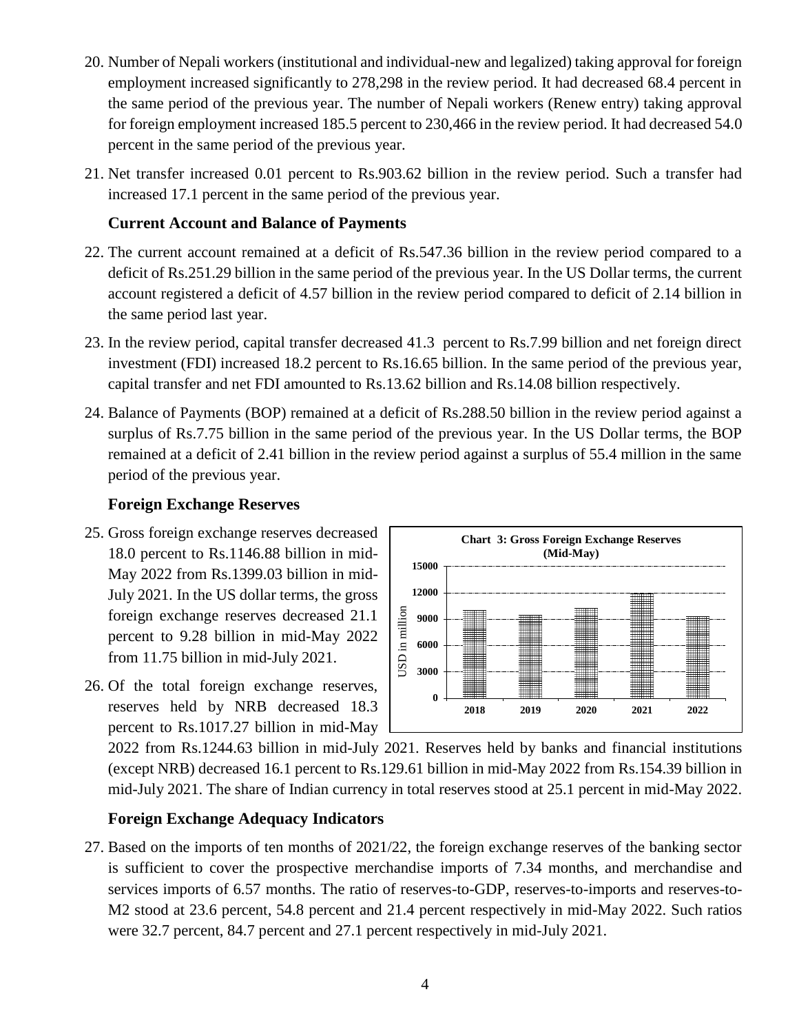- 20. Number of Nepali workers (institutional and individual-new and legalized) taking approval for foreign employment increased significantly to 278,298 in the review period. It had decreased 68.4 percent in the same period of the previous year. The number of Nepali workers (Renew entry) taking approval for foreign employment increased 185.5 percent to 230,466 in the review period. It had decreased 54.0 percent in the same period of the previous year.
- 21. Net transfer increased 0.01 percent to Rs.903.62 billion in the review period. Such a transfer had increased 17.1 percent in the same period of the previous year.

#### **Current Account and Balance of Payments**

- 22. The current account remained at a deficit of Rs.547.36 billion in the review period compared to a deficit of Rs.251.29 billion in the same period of the previous year. In the US Dollar terms, the current account registered a deficit of 4.57 billion in the review period compared to deficit of 2.14 billion in the same period last year.
- 23. In the review period, capital transfer decreased 41.3 percent to Rs.7.99 billion and net foreign direct investment (FDI) increased 18.2 percent to Rs.16.65 billion. In the same period of the previous year, capital transfer and net FDI amounted to Rs.13.62 billion and Rs.14.08 billion respectively.
- 24. Balance of Payments (BOP) remained at a deficit of Rs.288.50 billion in the review period against a surplus of Rs.7.75 billion in the same period of the previous year. In the US Dollar terms, the BOP remained at a deficit of 2.41 billion in the review period against a surplus of 55.4 million in the same period of the previous year.

### **Foreign Exchange Reserves**

- 25. Gross foreign exchange reserves decreased 18.0 percent to Rs.1146.88 billion in mid-May 2022 from Rs.1399.03 billion in mid-July 2021. In the US dollar terms, the gross foreign exchange reserves decreased 21.1 percent to 9.28 billion in mid-May 2022 from 11.75 billion in mid-July 2021.
- 26. Of the total foreign exchange reserves, reserves held by NRB decreased 18.3 percent to Rs.1017.27 billion in mid-May



2022 from Rs.1244.63 billion in mid-July 2021. Reserves held by banks and financial institutions (except NRB) decreased 16.1 percent to Rs.129.61 billion in mid-May 2022 from Rs.154.39 billion in mid-July 2021. The share of Indian currency in total reserves stood at 25.1 percent in mid-May 2022.

#### **Foreign Exchange Adequacy Indicators**

27. Based on the imports of ten months of 2021/22, the foreign exchange reserves of the banking sector is sufficient to cover the prospective merchandise imports of 7.34 months, and merchandise and services imports of 6.57 months. The ratio of reserves-to-GDP, reserves-to-imports and reserves-to-M2 stood at 23.6 percent, 54.8 percent and 21.4 percent respectively in mid-May 2022. Such ratios were 32.7 percent, 84.7 percent and 27.1 percent respectively in mid-July 2021.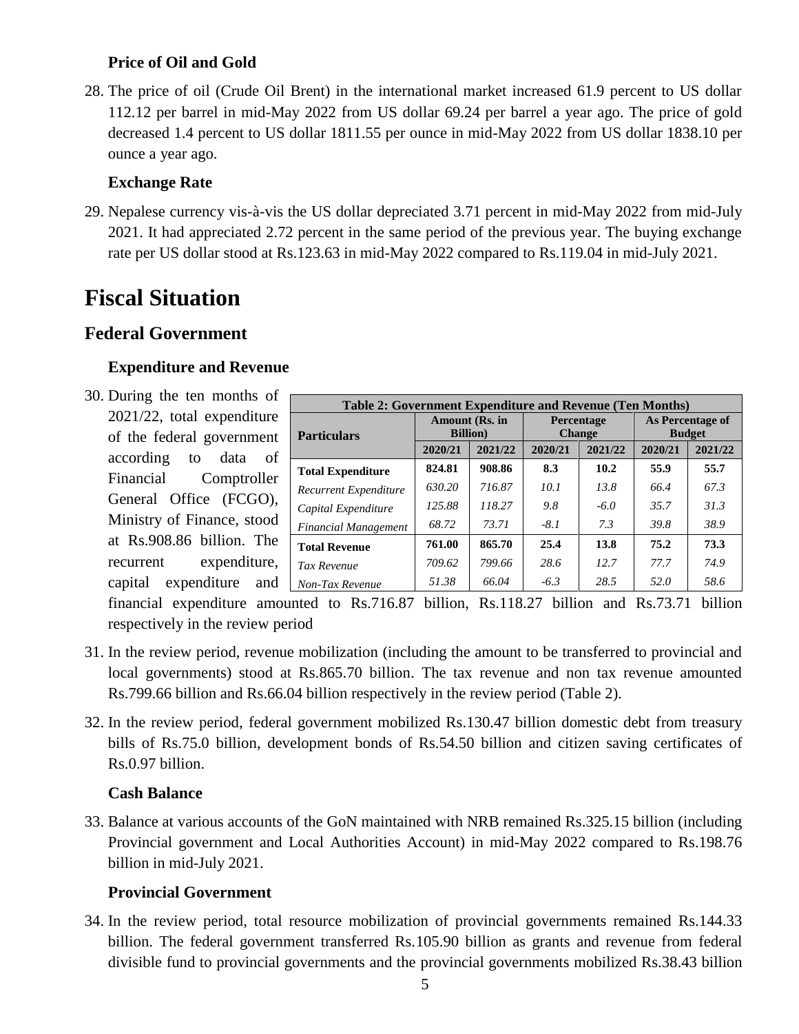## **Price of Oil and Gold**

28. The price of oil (Crude Oil Brent) in the international market increased 61.9 percent to US dollar 112.12 per barrel in mid-May 2022 from US dollar 69.24 per barrel a year ago. The price of gold decreased 1.4 percent to US dollar 1811.55 per ounce in mid-May 2022 from US dollar 1838.10 per ounce a year ago.

### **Exchange Rate**

29. Nepalese currency vis-à-vis the US dollar depreciated 3.71 percent in mid-May 2022 from mid-July 2021. It had appreciated 2.72 percent in the same period of the previous year. The buying exchange rate per US dollar stood at Rs.123.63 in mid-May 2022 compared to Rs.119.04 in mid-July 2021.

# **Fiscal Situation**

## **Federal Government**

### **Expenditure and Revenue**

30. During the ten months of 2021/22, total expenditure of the federal government according to data of Financial Comptroller General Office (FCGO), Ministry of Finance, stood at Rs.908.86 billion. The recurrent expenditure, capital expenditure and

| Table 2: Government Expenditure and Revenue (Ten Months) |                                    |         |                                    |         |                                   |         |
|----------------------------------------------------------|------------------------------------|---------|------------------------------------|---------|-----------------------------------|---------|
|                                                          | Amount (Rs. in<br><b>Billion</b> ) |         | <b>Percentage</b><br><b>Change</b> |         | As Percentage of<br><b>Budget</b> |         |
| <b>Particulars</b>                                       | 2020/21                            | 2021/22 | 2020/21                            | 2021/22 | 2020/21                           | 2021/22 |
|                                                          |                                    |         |                                    |         |                                   |         |
| <b>Total Expenditure</b>                                 | 824.81                             | 908.86  | 8.3                                | 10.2    | 55.9                              | 55.7    |
| Recurrent Expenditure                                    | 630.20                             | 716.87  | 10.1                               | 13.8    | 66.4                              | 67.3    |
| Capital Expenditure                                      | 125.88                             | 118.27  | 9.8                                | $-6.0$  | 35.7                              | 31.3    |
| <b>Financial Management</b>                              | 68.72                              | 73.71   | $-8.1$                             | 7.3     | 39.8                              | 38.9    |
| <b>Total Revenue</b>                                     | 761.00                             | 865.70  | 25.4                               | 13.8    | 75.2                              | 73.3    |
| Tax Revenue                                              | 709.62                             | 799.66  | 28.6                               | 12.7    | 77.7                              | 74.9    |
| Non-Tax Revenue                                          | 51.38                              | 66.04   | $-6.3$                             | 28.5    | 52.0                              | 58.6    |

financial expenditure amounted to Rs.716.87 billion, Rs.118.27 billion and Rs.73.71 billion respectively in the review period

- 31. In the review period, revenue mobilization (including the amount to be transferred to provincial and local governments) stood at Rs.865.70 billion. The tax revenue and non tax revenue amounted Rs.799.66 billion and Rs.66.04 billion respectively in the review period (Table 2).
- 32. In the review period, federal government mobilized Rs.130.47 billion domestic debt from treasury bills of Rs.75.0 billion, development bonds of Rs.54.50 billion and citizen saving certificates of Rs.0.97 billion.

#### **Cash Balance**

33. Balance at various accounts of the GoN maintained with NRB remained Rs.325.15 billion (including Provincial government and Local Authorities Account) in mid-May 2022 compared to Rs.198.76 billion in mid-July 2021.

#### **Provincial Government**

34. In the review period, total resource mobilization of provincial governments remained Rs.144.33 billion. The federal government transferred Rs.105.90 billion as grants and revenue from federal divisible fund to provincial governments and the provincial governments mobilized Rs.38.43 billion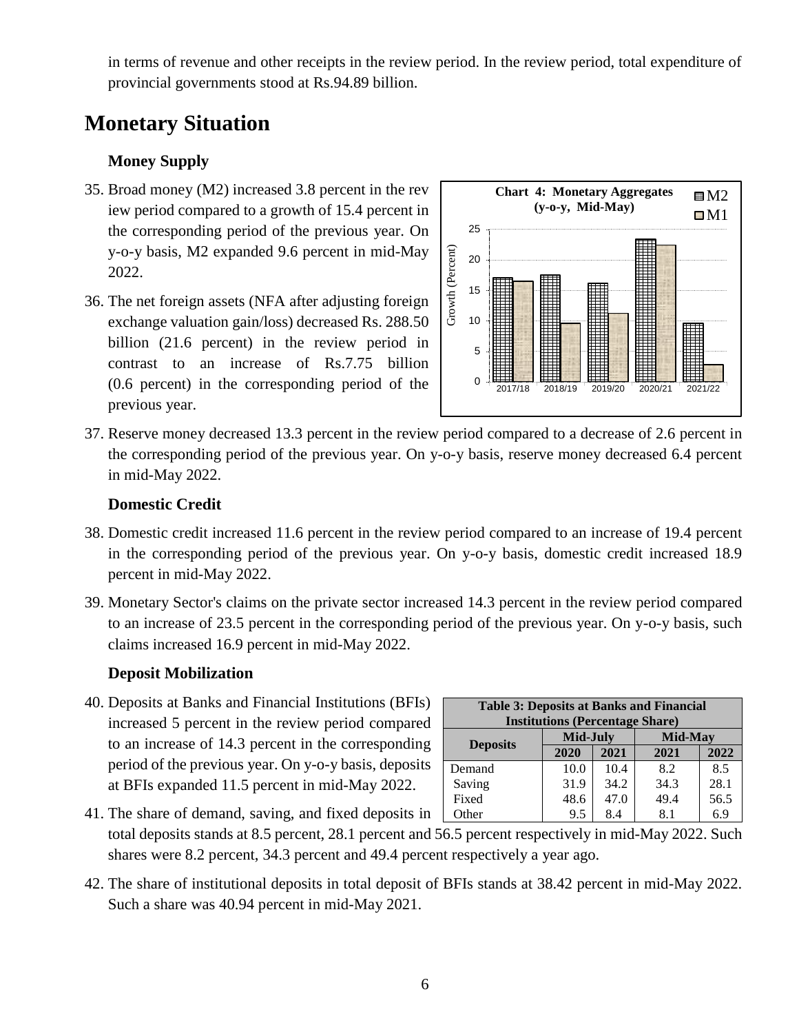in terms of revenue and other receipts in the review period. In the review period, total expenditure of provincial governments stood at Rs.94.89 billion.

## **Monetary Situation**

## **Money Supply**

- 35. Broad money (M2) increased 3.8 percent in the rev iew period compared to a growth of 15.4 percent in the corresponding period of the previous year. On y-o-y basis, M2 expanded 9.6 percent in mid-May 2022.
- 36. The net foreign assets (NFA after adjusting foreign exchange valuation gain/loss) decreased Rs. 288.50 billion (21.6 percent) in the review period in contrast to an increase of Rs.7.75 billion (0.6 percent) in the corresponding period of the previous year.



37. Reserve money decreased 13.3 percent in the review period compared to a decrease of 2.6 percent in the corresponding period of the previous year. On y-o-y basis, reserve money decreased 6.4 percent in mid-May 2022.

#### **Domestic Credit**

- 38. Domestic credit increased 11.6 percent in the review period compared to an increase of 19.4 percent in the corresponding period of the previous year. On y-o-y basis, domestic credit increased 18.9 percent in mid-May 2022.
- 39. Monetary Sector's claims on the private sector increased 14.3 percent in the review period compared to an increase of 23.5 percent in the corresponding period of the previous year. On y-o-y basis, such claims increased 16.9 percent in mid-May 2022.

#### **Deposit Mobilization**

40. Deposits at Banks and Financial Institutions (BFIs) increased 5 percent in the review period compared to an increase of 14.3 percent in the corresponding period of the previous year. On y-o-y basis, deposits at BFIs expanded 11.5 percent in mid-May 2022.

| <b>Table 3: Deposits at Banks and Financial</b> |          |      |         |      |  |
|-------------------------------------------------|----------|------|---------|------|--|
| <b>Institutions (Percentage Share)</b>          |          |      |         |      |  |
|                                                 |          |      |         |      |  |
|                                                 | Mid-July |      | Mid-May |      |  |
| <b>Deposits</b>                                 | 2020     | 2021 | 2021    | 2022 |  |
| Demand                                          | 10.0     | 10.4 | 8.2     | 8.5  |  |
| Saving                                          | 31.9     | 34.2 | 34.3    | 28.1 |  |
| Fixed                                           | 48.6     | 47.0 | 49.4    | 56.5 |  |
| Other                                           | 9.5      | 8.4  | 8.1     | 6.9  |  |

41. The share of demand, saving, and fixed deposits in total deposits stands at 8.5 percent, 28.1 percent and 56.5 percent respectively in mid-May 2022. Such shares were 8.2 percent, 34.3 percent and 49.4 percent respectively a year ago. Other | 9.5 | 8.4 | 8.1 | 6.9

42. The share of institutional deposits in total deposit of BFIs stands at 38.42 percent in mid-May 2022. Such a share was 40.94 percent in mid-May 2021.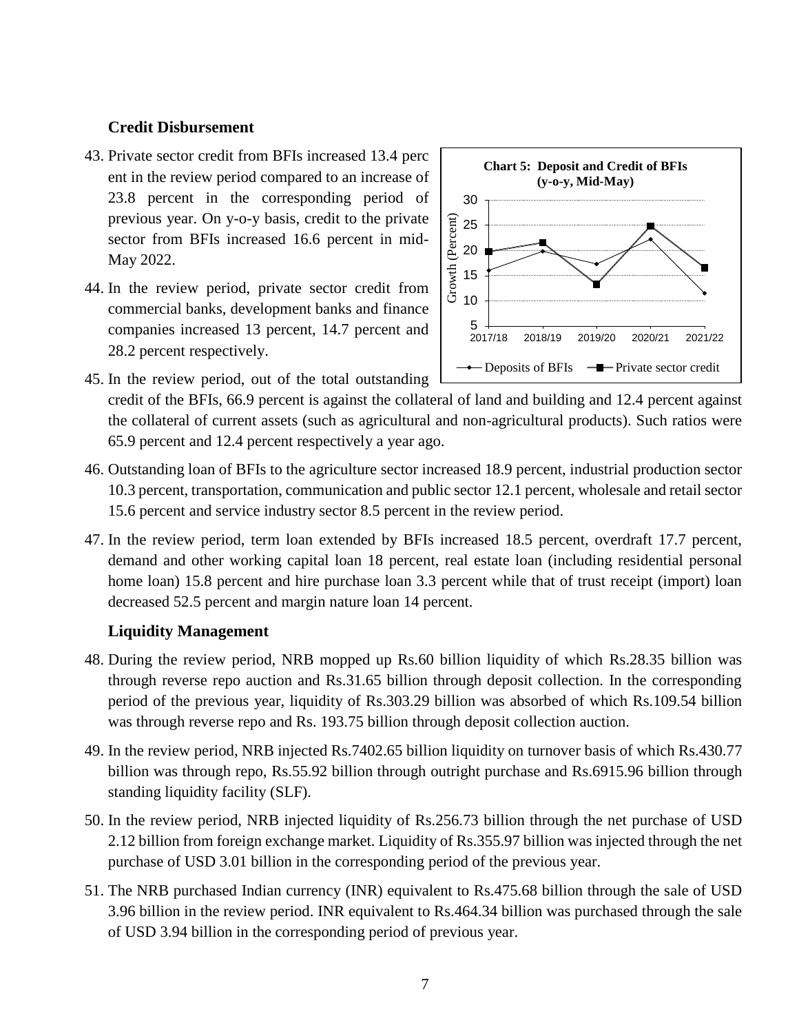#### **Credit Disbursement**

- 43. Private sector credit from BFIs increased 13.4 perc ent in the review period compared to an increase of 23.8 percent in the corresponding period of previous year. On y-o-y basis, credit to the private sector from BFIs increased 16.6 percent in mid-May 2022.
- 44. In the review period, private sector credit from commercial banks, development banks and finance companies increased 13 percent, 14.7 percent and 28.2 percent respectively.



- 45. In the review period, out of the total outstanding credit of the BFIs, 66.9 percent is against the collateral of land and building and 12.4 percent against the collateral of current assets (such as agricultural and non-agricultural products). Such ratios were
- 65.9 percent and 12.4 percent respectively a year ago.
- 46. Outstanding loan of BFIs to the agriculture sector increased 18.9 percent, industrial production sector 10.3 percent, transportation, communication and public sector 12.1 percent, wholesale and retail sector 15.6 percent and service industry sector 8.5 percent in the review period.
- 47. In the review period, term loan extended by BFIs increased 18.5 percent, overdraft 17.7 percent, demand and other working capital loan 18 percent, real estate loan (including residential personal home loan) 15.8 percent and hire purchase loan 3.3 percent while that of trust receipt (import) loan decreased 52.5 percent and margin nature loan 14 percent.

#### **Liquidity Management**

- 48. During the review period, NRB mopped up Rs.60 billion liquidity of which Rs.28.35 billion was through reverse repo auction and Rs.31.65 billion through deposit collection. In the corresponding period of the previous year, liquidity of Rs.303.29 billion was absorbed of which Rs.109.54 billion was through reverse repo and Rs. 193.75 billion through deposit collection auction.
- 49. In the review period, NRB injected Rs.7402.65 billion liquidity on turnover basis of which Rs.430.77 billion was through repo, Rs.55.92 billion through outright purchase and Rs.6915.96 billion through standing liquidity facility (SLF).
- 50. In the review period, NRB injected liquidity of Rs.256.73 billion through the net purchase of USD 2.12 billion from foreign exchange market. Liquidity of Rs.355.97 billion was injected through the net purchase of USD 3.01 billion in the corresponding period of the previous year.
- 51. The NRB purchased Indian currency (INR) equivalent to Rs.475.68 billion through the sale of USD 3.96 billion in the review period. INR equivalent to Rs.464.34 billion was purchased through the sale of USD 3.94 billion in the corresponding period of previous year.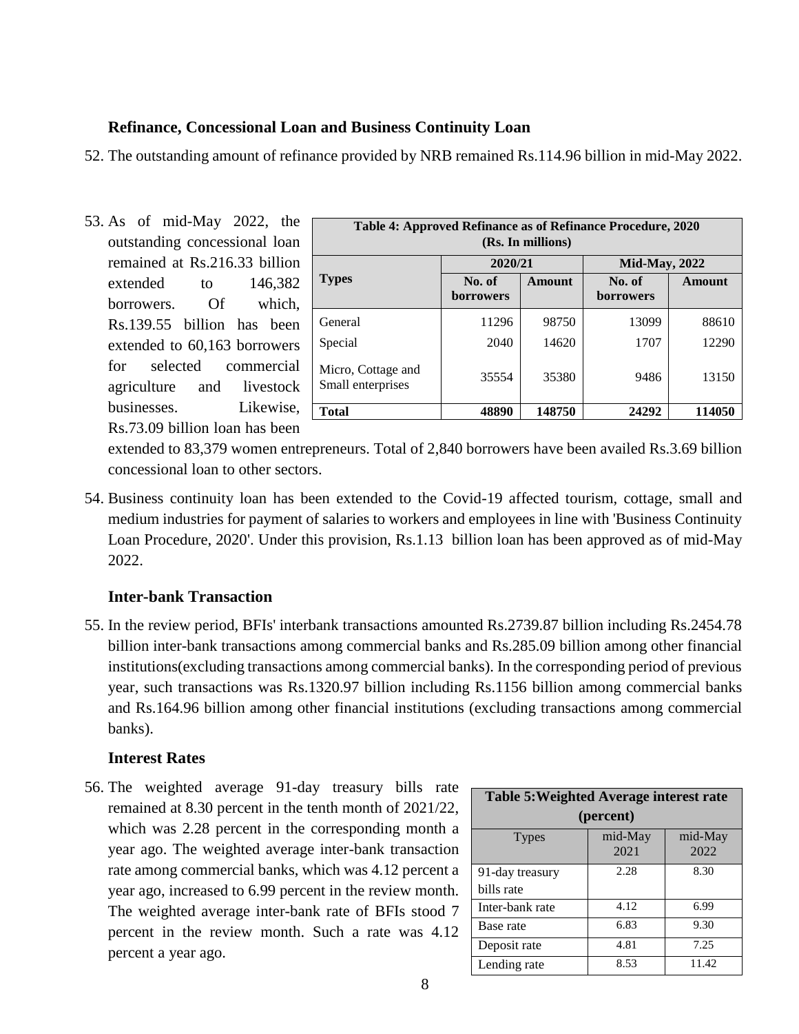#### **Refinance, Concessional Loan and Business Continuity Loan**

52. The outstanding amount of refinance provided by NRB remained Rs.114.96 billion in mid-May 2022.

53. As of mid-May 2022, the outstanding concessional loan remained at Rs.216.33 billion extended to 146,382 borrowers. Of which, Rs.139.55 billion has been extended to 60,163 borrowers for selected commercial agriculture and livestock businesses. Likewise, Rs.73.09 billion loan has been

| Table 4: Approved Refinance as of Refinance Procedure, 2020<br>(Rs. In millions) |                     |        |                            |        |  |
|----------------------------------------------------------------------------------|---------------------|--------|----------------------------|--------|--|
|                                                                                  | 2020/21             |        | <b>Mid-May, 2022</b>       |        |  |
| <b>Types</b>                                                                     | No. of<br>borrowers | Amount | No. of<br><b>borrowers</b> | Amount |  |
| General                                                                          | 11296               | 98750  | 13099                      | 88610  |  |
| Special                                                                          | 2040                | 14620  | 1707                       | 12290  |  |
| Micro, Cottage and<br>Small enterprises                                          | 35554               | 35380  | 9486                       | 13150  |  |
| Total                                                                            | 48890               | 148750 | 24292                      | 114050 |  |

extended to 83,379 women entrepreneurs. Total of 2,840 borrowers have been availed Rs.3.69 billion concessional loan to other sectors.

54. Business continuity loan has been extended to the Covid-19 affected tourism, cottage, small and medium industries for payment of salaries to workers and employees in line with 'Business Continuity Loan Procedure, 2020'. Under this provision, Rs.1.13 billion loan has been approved as of mid-May 2022.

## **Inter-bank Transaction**

55. In the review period, BFIs' interbank transactions amounted Rs.2739.87 billion including Rs.2454.78 billion inter-bank transactions among commercial banks and Rs.285.09 billion among other financial institutions(excluding transactions among commercial banks). In the corresponding period of previous year, such transactions was Rs.1320.97 billion including Rs.1156 billion among commercial banks and Rs.164.96 billion among other financial institutions (excluding transactions among commercial banks).

#### **Interest Rates**

56. The weighted average 91-day treasury bills rate remained at 8.30 percent in the tenth month of 2021/22, which was 2.28 percent in the corresponding month a year ago. The weighted average inter-bank transaction rate among commercial banks, which was 4.12 percent a year ago, increased to 6.99 percent in the review month. The weighted average inter-bank rate of BFIs stood 7 percent in the review month. Such a rate was 4.12 percent a year ago.

| <b>Table 5: Weighted Average interest rate</b> |                 |                 |  |  |  |
|------------------------------------------------|-----------------|-----------------|--|--|--|
| (percent)                                      |                 |                 |  |  |  |
| <b>Types</b>                                   | mid-May<br>2021 | mid-May<br>2022 |  |  |  |
| 91-day treasury                                | 2.28            | 8.30            |  |  |  |
| bills rate                                     |                 |                 |  |  |  |
| Inter-bank rate                                | 4.12            | 6.99            |  |  |  |
| Base rate                                      | 6.83            | 9.30            |  |  |  |
| Deposit rate                                   | 4.81            | 7.25            |  |  |  |
| Lending rate                                   | 8.53            | 11.42           |  |  |  |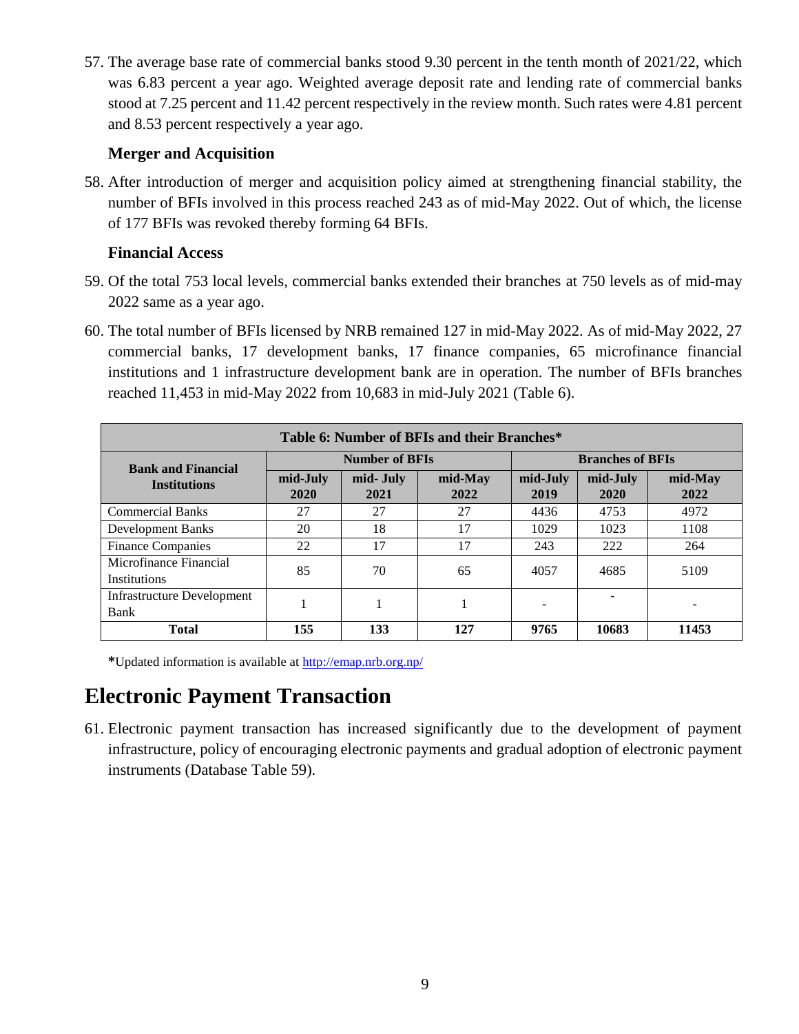57. The average base rate of commercial banks stood 9.30 percent in the tenth month of 2021/22, which was 6.83 percent a year ago. Weighted average deposit rate and lending rate of commercial banks stood at 7.25 percent and 11.42 percent respectively in the review month. Such rates were 4.81 percent and 8.53 percent respectively a year ago.

#### **Merger and Acquisition**

58. After introduction of merger and acquisition policy aimed at strengthening financial stability, the number of BFIs involved in this process reached 243 as of mid-May 2022. Out of which, the license of 177 BFIs was revoked thereby forming 64 BFIs.

#### **Financial Access**

- 59. Of the total 753 local levels, commercial banks extended their branches at 750 levels as of mid-may 2022 same as a year ago.
- 60. The total number of BFIs licensed by NRB remained 127 in mid-May 2022. As of mid-May 2022, 27 commercial banks, 17 development banks, 17 finance companies, 65 microfinance financial institutions and 1 infrastructure development bank are in operation. The number of BFIs branches reached 11,453 in mid-May 2022 from 10,683 in mid-July 2021 (Table 6).

| Table 6: Number of BFIs and their Branches*   |                       |                   |                 |                         |                  |                 |
|-----------------------------------------------|-----------------------|-------------------|-----------------|-------------------------|------------------|-----------------|
| <b>Bank and Financial</b>                     | <b>Number of BFIs</b> |                   |                 | <b>Branches of BFIs</b> |                  |                 |
| <b>Institutions</b>                           | mid-July<br>2020      | mid- July<br>2021 | mid-May<br>2022 | mid-July<br>2019        | mid-July<br>2020 | mid-May<br>2022 |
| <b>Commercial Banks</b>                       | 27                    | 27                | 27              | 4436                    | 4753             | 4972            |
| Development Banks                             | 20                    | 18                | 17              | 1029                    | 1023             | 1108            |
| <b>Finance Companies</b>                      | 22                    | 17                | 17              | 243                     | 222              | 264             |
| Microfinance Financial<br><b>Institutions</b> | 85                    | 70                | 65              | 4057                    | 4685             | 5109            |
| <b>Infrastructure Development</b><br>Bank     |                       |                   |                 |                         |                  |                 |
| <b>Total</b>                                  | 155                   | 133               | 127             | 9765                    | 10683            | 11453           |

**\***Updated information is available at<http://emap.nrb.org.np/>

## **Electronic Payment Transaction**

61. Electronic payment transaction has increased significantly due to the development of payment infrastructure, policy of encouraging electronic payments and gradual adoption of electronic payment instruments (Database Table 59).